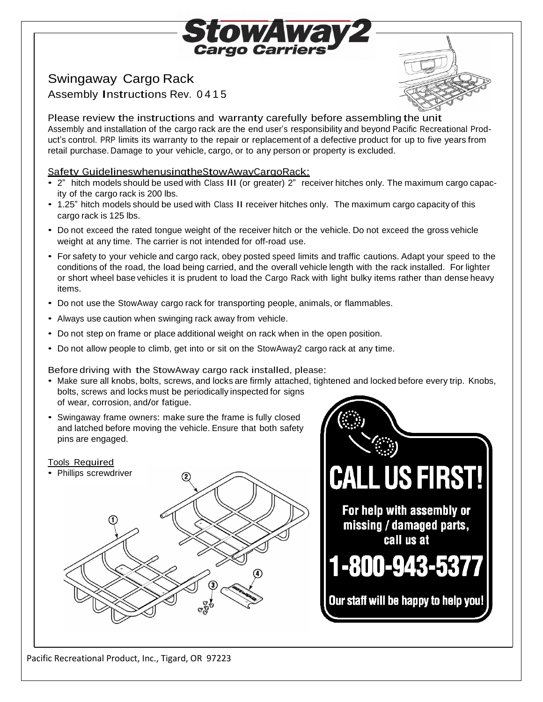## **Cargo Carrie**

## Swingaway Cargo Rack Assembly Instructions Rev. 0 4 1 5



Please review the instructions and warranty carefully before assembling the unit Assembly and installation of the cargo rack are the end user's responsibility and beyond Pacific Recreational Product's control. PRP limits its warranty to the repair or replacement of a defective product for up to five years from retail purchase. Damage to your vehicle, cargo, or to any person or property is excluded.

## Safety GuidelineswhenusingtheStowAwayCargoRack:

- 2" hitch models should be used with Class III (or greater) 2" receiver hitches only. The maximum cargo capacity of the cargo rack is 200 lbs.
- 1.25" hitch models should be used with Class II receiver hitches only. The maximum cargo capacity of this cargo rack is 125 lbs.
- Do not exceed the rated tongue weight of the receiver hitch or the vehicle. Do not exceed the gross vehicle weight at any time. The carrier is not intended for off-road use.
- For safety to your vehicle and cargo rack, obey posted speed limits and traffic cautions. Adapt your speed to the conditions of the road, the load being carried, and the overall vehicle length with the rack installed. For lighter or short wheel base vehicles it is prudent to load the Cargo Rack with light bulky items rather than dense heavy items.
- Do not use the StowAway cargo rack for transporting people, animals, or flammables.
- Always use caution when swinging rack away from vehicle.
- Do not step on frame or place additional weight on rack when in the open position.
- Do not allow people to climb, get into or sit on the StowAway2 cargo rack at any time.

Before driving with the StowAway cargo rack installed, please:

- Make sure all knobs, bolts, screws, and locks are firmly attached, tightened and locked before every trip. Knobs, bolts, screws and locks must be periodically inspected for signs of wear, corrosion, and/or fatigue.
- Swingaway frame owners: make sure the frame is fully closed and latched before moving the vehicle. Ensure that both safety pins are engaged.





Pacific Recreational Product, Inc., Tigard, OR 97223